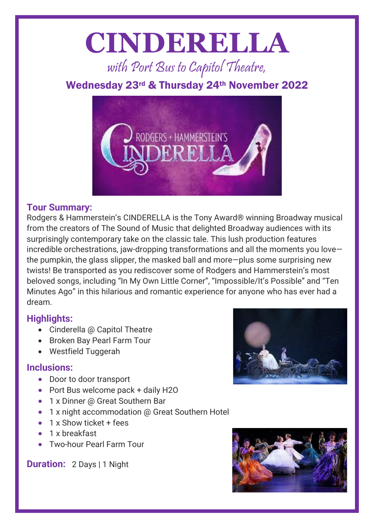# **CINDERELLA**

with Port Bus to Capitol Theatre,

### Wednesday 23rd & Thursday 24th November 2022



#### **Tour Summary:**

Rodgers & Hammerstein's CINDERELLA is the Tony Award® winning Broadway musical from the creators of The Sound of Music that delighted Broadway audiences with its surprisingly contemporary take on the classic tale. This lush production features incredible orchestrations, jaw-dropping transformations and all the moments you love the pumpkin, the glass slipper, the masked ball and more—plus some surprising new twists! Be transported as you rediscover some of Rodgers and Hammerstein's most beloved songs, including "In My Own Little Corner", "Impossible/It's Possible" and "Ten Minutes Ago" in this hilarious and romantic experience for anyone who has ever had a dream.

#### **Highlights:**

- Cinderella @ Capitol Theatre
- Broken Bay Pearl Farm Tour
- Westfield Tuggerah

#### **Inclusions:**

- Door to door transport
- Port Bus welcome pack + daily H2O
- 1 x Dinner @ Great Southern Bar
- 1 x night accommodation @ Great Southern Hotel
- 1 x Show ticket + fees
- 1 x breakfast
- Two-hour Pearl Farm Tour

**Duration:** 2 Days | 1 Night